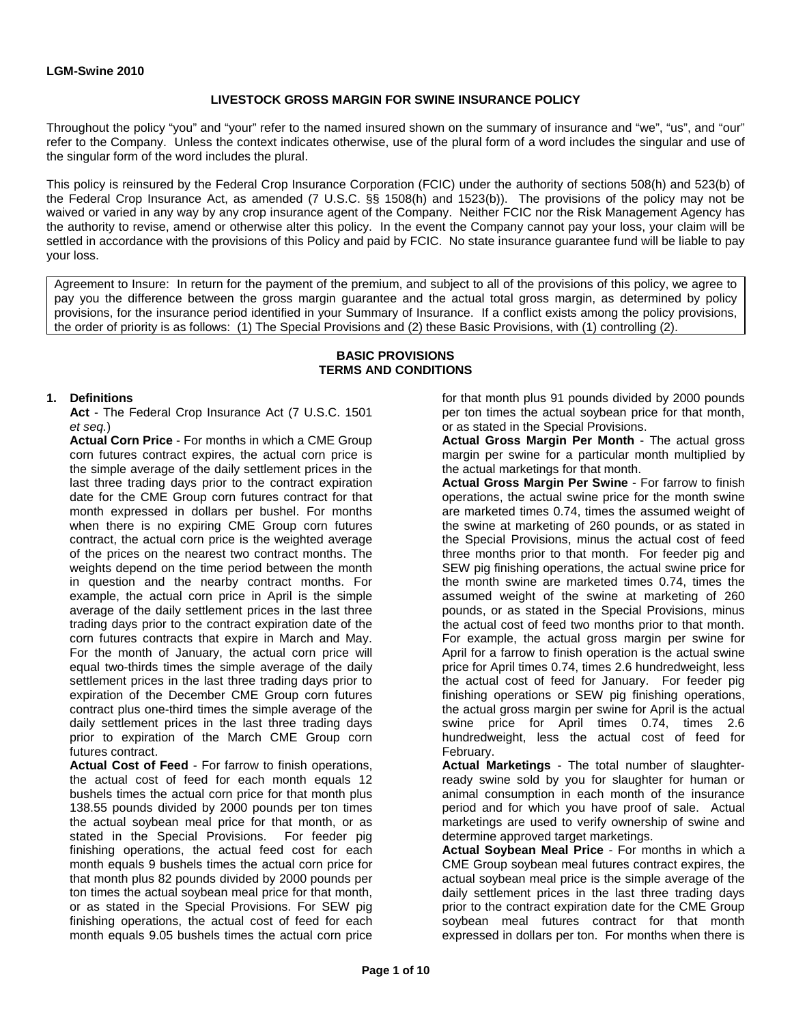### **LIVESTOCK GROSS MARGIN FOR SWINE INSURANCE POLICY**

Throughout the policy "you" and "your" refer to the named insured shown on the summary of insurance and "we", "us", and "our" refer to the Company. Unless the context indicates otherwise, use of the plural form of a word includes the singular and use of the singular form of the word includes the plural.

This policy is reinsured by the Federal Crop Insurance Corporation (FCIC) under the authority of sections 508(h) and 523(b) of the Federal Crop Insurance Act, as amended (7 U.S.C. §§ 1508(h) and 1523(b)). The provisions of the policy may not be waived or varied in any way by any crop insurance agent of the Company. Neither FCIC nor the Risk Management Agency has the authority to revise, amend or otherwise alter this policy. In the event the Company cannot pay your loss, your claim will be settled in accordance with the provisions of this Policy and paid by FCIC. No state insurance guarantee fund will be liable to pay your loss.

Agreement to Insure: In return for the payment of the premium, and subject to all of the provisions of this policy, we agree to pay you the difference between the gross margin guarantee and the actual total gross margin, as determined by policy provisions, for the insurance period identified in your Summary of Insurance. If a conflict exists among the policy provisions, the order of priority is as follows: (1) The Special Provisions and (2) these Basic Provisions, with (1) controlling (2).

#### **BASIC PROVISIONS TERMS AND CONDITIONS**

### **1. Definitions**

**Act** - The Federal Crop Insurance Act (7 U.S.C. 1501 *et seq.*)

**Actual Corn Price** - For months in which a CME Group corn futures contract expires, the actual corn price is the simple average of the daily settlement prices in the last three trading days prior to the contract expiration date for the CME Group corn futures contract for that month expressed in dollars per bushel. For months when there is no expiring CME Group corn futures contract, the actual corn price is the weighted average of the prices on the nearest two contract months. The weights depend on the time period between the month in question and the nearby contract months. For example, the actual corn price in April is the simple average of the daily settlement prices in the last three trading days prior to the contract expiration date of the corn futures contracts that expire in March and May. For the month of January, the actual corn price will equal two-thirds times the simple average of the daily settlement prices in the last three trading days prior to expiration of the December CME Group corn futures contract plus one-third times the simple average of the daily settlement prices in the last three trading days prior to expiration of the March CME Group corn futures contract.

**Actual Cost of Feed** - For farrow to finish operations, the actual cost of feed for each month equals 12 bushels times the actual corn price for that month plus 138.55 pounds divided by 2000 pounds per ton times the actual soybean meal price for that month, or as stated in the Special Provisions. For feeder pig finishing operations, the actual feed cost for each month equals 9 bushels times the actual corn price for that month plus 82 pounds divided by 2000 pounds per ton times the actual soybean meal price for that month, or as stated in the Special Provisions. For SEW pig finishing operations, the actual cost of feed for each month equals 9.05 bushels times the actual corn price

for that month plus 91 pounds divided by 2000 pounds per ton times the actual soybean price for that month, or as stated in the Special Provisions.

**Actual Gross Margin Per Month** - The actual gross margin per swine for a particular month multiplied by the actual marketings for that month.

**Actual Gross Margin Per Swine** - For farrow to finish operations, the actual swine price for the month swine are marketed times 0.74, times the assumed weight of the swine at marketing of 260 pounds, or as stated in the Special Provisions, minus the actual cost of feed three months prior to that month. For feeder pig and SEW pig finishing operations, the actual swine price for the month swine are marketed times 0.74, times the assumed weight of the swine at marketing of 260 pounds, or as stated in the Special Provisions, minus the actual cost of feed two months prior to that month. For example, the actual gross margin per swine for April for a farrow to finish operation is the actual swine price for April times 0.74, times 2.6 hundredweight, less the actual cost of feed for January. For feeder pig finishing operations or SEW pig finishing operations, the actual gross margin per swine for April is the actual swine price for April times 0.74, times 2.6 hundredweight, less the actual cost of feed for February.

**Actual Marketings** - The total number of slaughterready swine sold by you for slaughter for human or animal consumption in each month of the insurance period and for which you have proof of sale. Actual marketings are used to verify ownership of swine and determine approved target marketings.

**Actual Soybean Meal Price** - For months in which a CME Group soybean meal futures contract expires, the actual soybean meal price is the simple average of the daily settlement prices in the last three trading days prior to the contract expiration date for the CME Group soybean meal futures contract for that month expressed in dollars per ton. For months when there is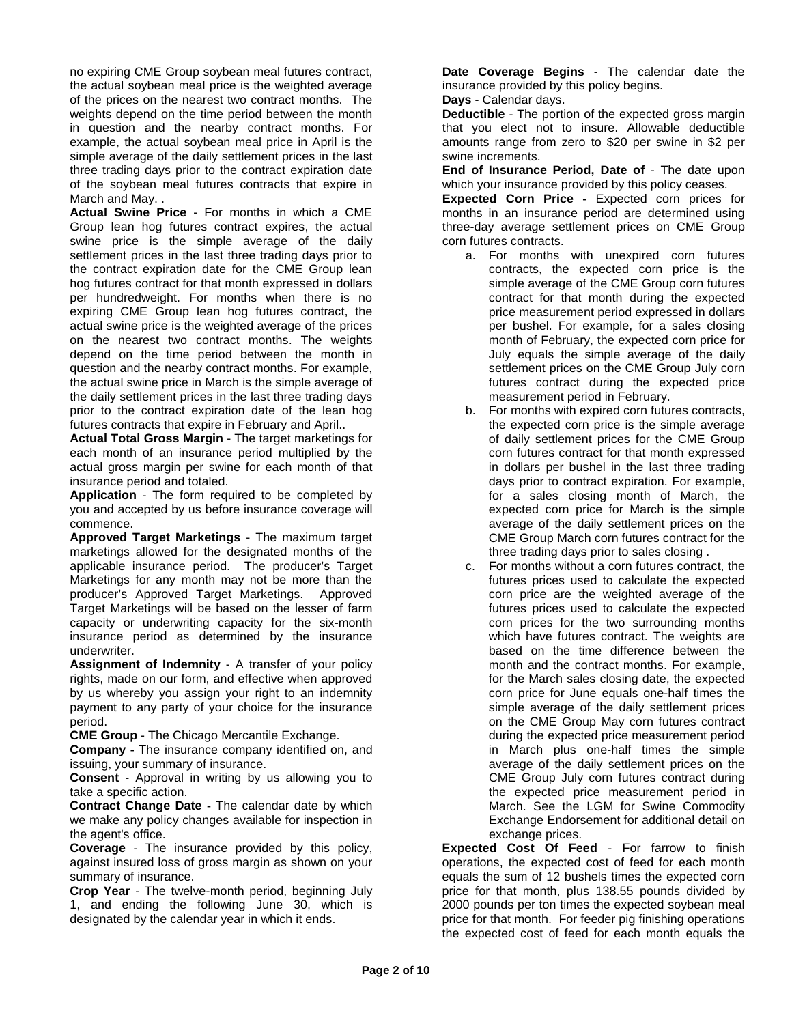no expiring CME Group soybean meal futures contract, the actual soybean meal price is the weighted average of the prices on the nearest two contract months. The weights depend on the time period between the month in question and the nearby contract months. For example, the actual soybean meal price in April is the simple average of the daily settlement prices in the last three trading days prior to the contract expiration date of the soybean meal futures contracts that expire in March and May. .

**Actual Swine Price** - For months in which a CME Group lean hog futures contract expires, the actual swine price is the simple average of the daily settlement prices in the last three trading days prior to the contract expiration date for the CME Group lean hog futures contract for that month expressed in dollars per hundredweight. For months when there is no expiring CME Group lean hog futures contract, the actual swine price is the weighted average of the prices on the nearest two contract months. The weights depend on the time period between the month in question and the nearby contract months. For example, the actual swine price in March is the simple average of the daily settlement prices in the last three trading days prior to the contract expiration date of the lean hog futures contracts that expire in February and April..

**Actual Total Gross Margin** - The target marketings for each month of an insurance period multiplied by the actual gross margin per swine for each month of that insurance period and totaled.

**Application** - The form required to be completed by you and accepted by us before insurance coverage will commence.

**Approved Target Marketings** - The maximum target marketings allowed for the designated months of the applicable insurance period. The producer's Target Marketings for any month may not be more than the producer's Approved Target Marketings. Approved Target Marketings will be based on the lesser of farm capacity or underwriting capacity for the six-month insurance period as determined by the insurance underwriter.

**Assignment of Indemnity** - A transfer of your policy rights, made on our form, and effective when approved by us whereby you assign your right to an indemnity payment to any party of your choice for the insurance period.

**CME Group** - The Chicago Mercantile Exchange.

**Company -** The insurance company identified on, and issuing, your summary of insurance.

**Consent** - Approval in writing by us allowing you to take a specific action.

**Contract Change Date -** The calendar date by which we make any policy changes available for inspection in the agent's office.

**Coverage** - The insurance provided by this policy, against insured loss of gross margin as shown on your summary of insurance.

**Crop Year** - The twelve-month period, beginning July 1, and ending the following June 30, which is designated by the calendar year in which it ends.

**Date Coverage Begins** - The calendar date the insurance provided by this policy begins.

**Days** - Calendar days.

**Deductible** - The portion of the expected gross margin that you elect not to insure. Allowable deductible amounts range from zero to \$20 per swine in \$2 per swine increments.

**End of Insurance Period, Date of** - The date upon which your insurance provided by this policy ceases.

**Expected Corn Price -** Expected corn prices for months in an insurance period are determined using three-day average settlement prices on CME Group corn futures contracts.

- a. For months with unexpired corn futures contracts, the expected corn price is the simple average of the CME Group corn futures contract for that month during the expected price measurement period expressed in dollars per bushel. For example, for a sales closing month of February, the expected corn price for July equals the simple average of the daily settlement prices on the CME Group July corn futures contract during the expected price measurement period in February.
- b. For months with expired corn futures contracts, the expected corn price is the simple average of daily settlement prices for the CME Group corn futures contract for that month expressed in dollars per bushel in the last three trading days prior to contract expiration. For example, for a sales closing month of March, the expected corn price for March is the simple average of the daily settlement prices on the CME Group March corn futures contract for the three trading days prior to sales closing .
- c. For months without a corn futures contract, the futures prices used to calculate the expected corn price are the weighted average of the futures prices used to calculate the expected corn prices for the two surrounding months which have futures contract. The weights are based on the time difference between the month and the contract months. For example, for the March sales closing date, the expected corn price for June equals one-half times the simple average of the daily settlement prices on the CME Group May corn futures contract during the expected price measurement period in March plus one-half times the simple average of the daily settlement prices on the CME Group July corn futures contract during the expected price measurement period in March. See the LGM for Swine Commodity Exchange Endorsement for additional detail on exchange prices.

**Expected Cost Of Feed** - For farrow to finish operations, the expected cost of feed for each month equals the sum of 12 bushels times the expected corn price for that month, plus 138.55 pounds divided by 2000 pounds per ton times the expected soybean meal price for that month. For feeder pig finishing operations the expected cost of feed for each month equals the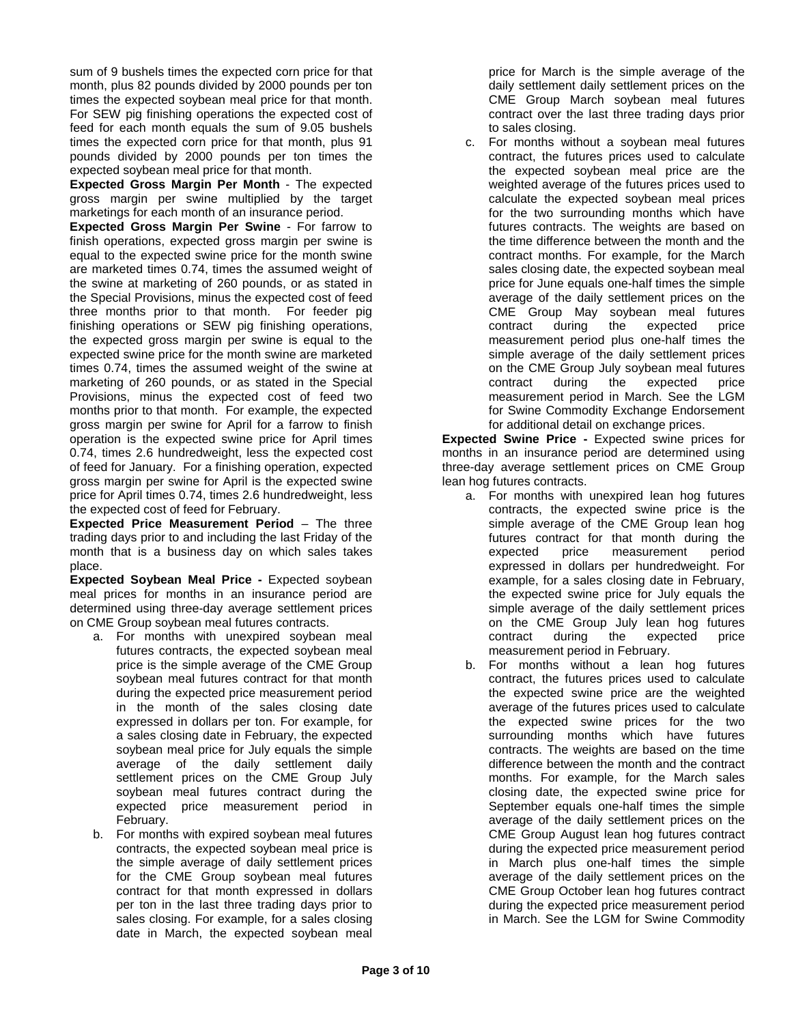sum of 9 bushels times the expected corn price for that month, plus 82 pounds divided by 2000 pounds per ton times the expected soybean meal price for that month. For SEW pig finishing operations the expected cost of feed for each month equals the sum of 9.05 bushels times the expected corn price for that month, plus 91 pounds divided by 2000 pounds per ton times the expected soybean meal price for that month.

**Expected Gross Margin Per Month** - The expected gross margin per swine multiplied by the target marketings for each month of an insurance period.

**Expected Gross Margin Per Swine** - For farrow to finish operations, expected gross margin per swine is equal to the expected swine price for the month swine are marketed times 0.74, times the assumed weight of the swine at marketing of 260 pounds, or as stated in the Special Provisions, minus the expected cost of feed three months prior to that month. For feeder pig finishing operations or SEW pig finishing operations, the expected gross margin per swine is equal to the expected swine price for the month swine are marketed times 0.74, times the assumed weight of the swine at marketing of 260 pounds, or as stated in the Special Provisions, minus the expected cost of feed two months prior to that month. For example, the expected gross margin per swine for April for a farrow to finish operation is the expected swine price for April times 0.74, times 2.6 hundredweight, less the expected cost of feed for January. For a finishing operation, expected gross margin per swine for April is the expected swine price for April times 0.74, times 2.6 hundredweight, less the expected cost of feed for February.

**Expected Price Measurement Period** – The three trading days prior to and including the last Friday of the month that is a business day on which sales takes place.

**Expected Soybean Meal Price -** Expected soybean meal prices for months in an insurance period are determined using three-day average settlement prices on CME Group soybean meal futures contracts.

- a. For months with unexpired soybean meal futures contracts, the expected soybean meal price is the simple average of the CME Group soybean meal futures contract for that month during the expected price measurement period in the month of the sales closing date expressed in dollars per ton. For example, for a sales closing date in February, the expected soybean meal price for July equals the simple average of the daily settlement daily settlement prices on the CME Group July soybean meal futures contract during the expected price measurement period in February.
- b. For months with expired soybean meal futures contracts, the expected soybean meal price is the simple average of daily settlement prices for the CME Group soybean meal futures contract for that month expressed in dollars per ton in the last three trading days prior to sales closing. For example, for a sales closing date in March, the expected soybean meal

price for March is the simple average of the daily settlement daily settlement prices on the CME Group March soybean meal futures contract over the last three trading days prior to sales closing.

c. For months without a soybean meal futures contract, the futures prices used to calculate the expected soybean meal price are the weighted average of the futures prices used to calculate the expected soybean meal prices for the two surrounding months which have futures contracts. The weights are based on the time difference between the month and the contract months. For example, for the March sales closing date, the expected soybean meal price for June equals one-half times the simple average of the daily settlement prices on the CME Group May soybean meal futures contract during the expected price measurement period plus one-half times the simple average of the daily settlement prices on the CME Group July soybean meal futures contract during the expected price measurement period in March. See the LGM for Swine Commodity Exchange Endorsement for additional detail on exchange prices.

**Expected Swine Price -** Expected swine prices for months in an insurance period are determined using three-day average settlement prices on CME Group lean hog futures contracts.

- a. For months with unexpired lean hog futures contracts, the expected swine price is the simple average of the CME Group lean hog futures contract for that month during the expected price measurement period expressed in dollars per hundredweight. For example, for a sales closing date in February, the expected swine price for July equals the simple average of the daily settlement prices on the CME Group July lean hog futures contract during the expected price measurement period in February.
- b. For months without a lean hog futures contract, the futures prices used to calculate the expected swine price are the weighted average of the futures prices used to calculate the expected swine prices for the two surrounding months which have futures contracts. The weights are based on the time difference between the month and the contract months. For example, for the March sales closing date, the expected swine price for September equals one-half times the simple average of the daily settlement prices on the CME Group August lean hog futures contract during the expected price measurement period in March plus one-half times the simple average of the daily settlement prices on the CME Group October lean hog futures contract during the expected price measurement period in March. See the LGM for Swine Commodity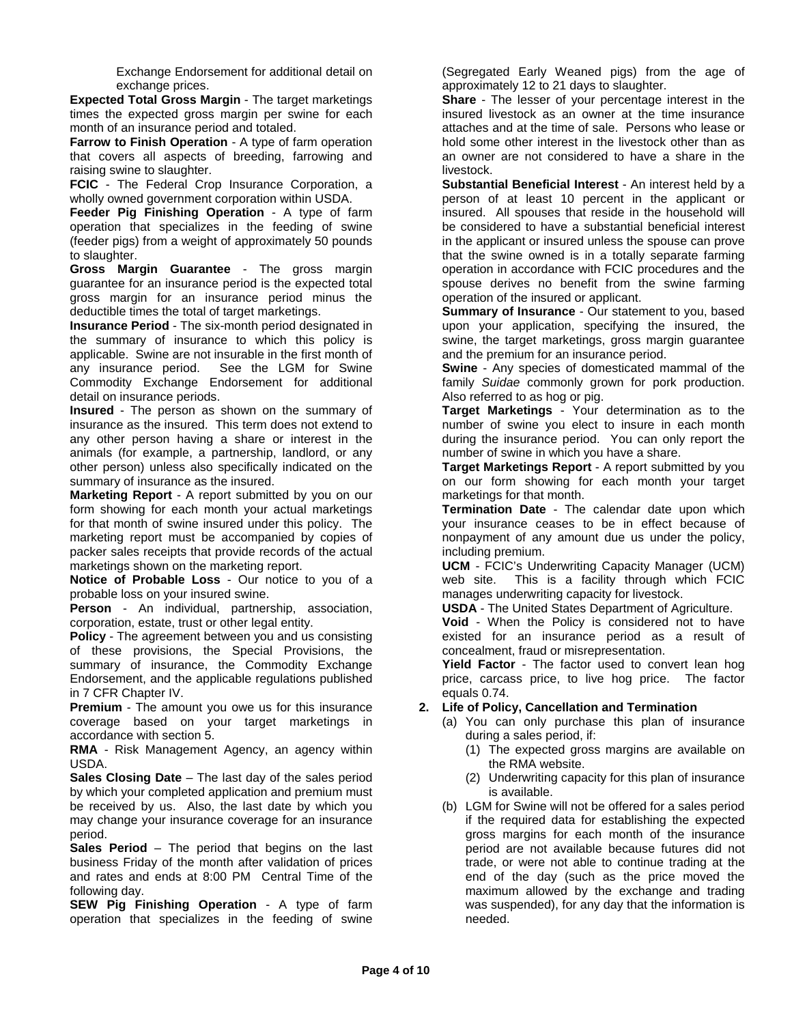Exchange Endorsement for additional detail on exchange prices.

**Expected Total Gross Margin** - The target marketings times the expected gross margin per swine for each month of an insurance period and totaled.

**Farrow to Finish Operation** - A type of farm operation that covers all aspects of breeding, farrowing and raising swine to slaughter.

**FCIC** - The Federal Crop Insurance Corporation, a wholly owned government corporation within USDA.

**Feeder Pig Finishing Operation** - A type of farm operation that specializes in the feeding of swine (feeder pigs) from a weight of approximately 50 pounds to slaughter.

**Gross Margin Guarantee** - The gross margin guarantee for an insurance period is the expected total gross margin for an insurance period minus the deductible times the total of target marketings.

**Insurance Period** - The six-month period designated in the summary of insurance to which this policy is applicable. Swine are not insurable in the first month of any insurance period. See the LGM for Swine Commodity Exchange Endorsement for additional detail on insurance periods.

**Insured** - The person as shown on the summary of insurance as the insured. This term does not extend to any other person having a share or interest in the animals (for example, a partnership, landlord, or any other person) unless also specifically indicated on the summary of insurance as the insured.

**Marketing Report** - A report submitted by you on our form showing for each month your actual marketings for that month of swine insured under this policy. The marketing report must be accompanied by copies of packer sales receipts that provide records of the actual marketings shown on the marketing report.

**Notice of Probable Loss** - Our notice to you of a probable loss on your insured swine.

**Person** - An individual, partnership, association, corporation, estate, trust or other legal entity.

**Policy** - The agreement between you and us consisting of these provisions, the Special Provisions, the summary of insurance, the Commodity Exchange Endorsement, and the applicable regulations published in 7 CFR Chapter IV.

**Premium** - The amount you owe us for this insurance coverage based on your target marketings in accordance with section 5.

**RMA** - Risk Management Agency, an agency within USDA.

**Sales Closing Date** – The last day of the sales period by which your completed application and premium must be received by us. Also, the last date by which you may change your insurance coverage for an insurance period.

**Sales Period** – The period that begins on the last business Friday of the month after validation of prices and rates and ends at 8:00 PM Central Time of the following day.

**SEW Pig Finishing Operation** - A type of farm operation that specializes in the feeding of swine

(Segregated Early Weaned pigs) from the age of approximately 12 to 21 days to slaughter.

**Share** - The lesser of your percentage interest in the insured livestock as an owner at the time insurance attaches and at the time of sale. Persons who lease or hold some other interest in the livestock other than as an owner are not considered to have a share in the livestock.

**Substantial Beneficial Interest** - An interest held by a person of at least 10 percent in the applicant or insured. All spouses that reside in the household will be considered to have a substantial beneficial interest in the applicant or insured unless the spouse can prove that the swine owned is in a totally separate farming operation in accordance with FCIC procedures and the spouse derives no benefit from the swine farming operation of the insured or applicant.

**Summary of Insurance** - Our statement to you, based upon your application, specifying the insured, the swine, the target marketings, gross margin guarantee and the premium for an insurance period.

**Swine** - Any species of domesticated mammal of the family *Suidae* commonly grown for pork production. Also referred to as hog or pig.

**Target Marketings** - Your determination as to the number of swine you elect to insure in each month during the insurance period. You can only report the number of swine in which you have a share.

**Target Marketings Report** - A report submitted by you on our form showing for each month your target marketings for that month.

**Termination Date** - The calendar date upon which your insurance ceases to be in effect because of nonpayment of any amount due us under the policy, including premium.

**UCM** - FCIC's Underwriting Capacity Manager (UCM) web site. This is a facility through which FCIC manages underwriting capacity for livestock.

**USDA** - The United States Department of Agriculture.

**Void** - When the Policy is considered not to have existed for an insurance period as a result of concealment, fraud or misrepresentation.

**Yield Factor** - The factor used to convert lean hog price, carcass price, to live hog price. The factor equals 0.74.

# **2. Life of Policy, Cancellation and Termination**

- (a) You can only purchase this plan of insurance during a sales period, if:
	- (1) The expected gross margins are available on the RMA website.
	- (2) Underwriting capacity for this plan of insurance is available.
- (b) LGM for Swine will not be offered for a sales period if the required data for establishing the expected gross margins for each month of the insurance period are not available because futures did not trade, or were not able to continue trading at the end of the day (such as the price moved the maximum allowed by the exchange and trading was suspended), for any day that the information is needed.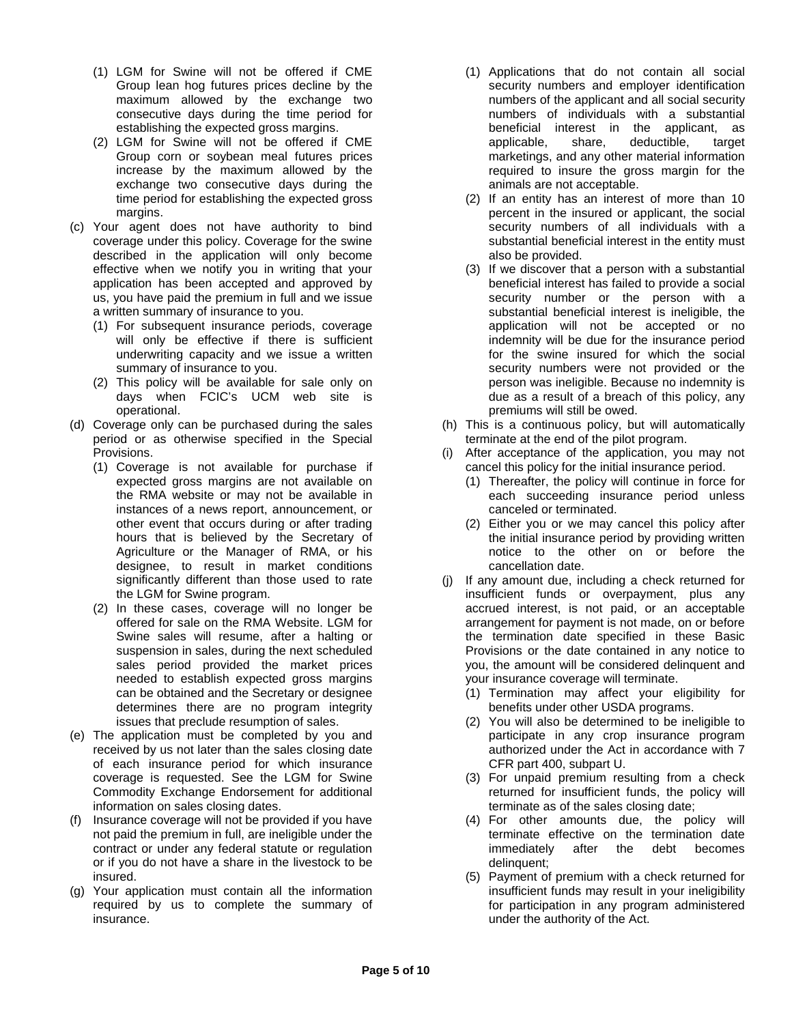- (1) LGM for Swine will not be offered if CME Group lean hog futures prices decline by the maximum allowed by the exchange two consecutive days during the time period for establishing the expected gross margins.
- (2) LGM for Swine will not be offered if CME Group corn or soybean meal futures prices increase by the maximum allowed by the exchange two consecutive days during the time period for establishing the expected gross margins.
- (c) Your agent does not have authority to bind coverage under this policy. Coverage for the swine described in the application will only become effective when we notify you in writing that your application has been accepted and approved by us, you have paid the premium in full and we issue a written summary of insurance to you.
	- (1) For subsequent insurance periods, coverage will only be effective if there is sufficient underwriting capacity and we issue a written summary of insurance to you.
	- (2) This policy will be available for sale only on days when FCIC's UCM web site is operational.
- (d) Coverage only can be purchased during the sales period or as otherwise specified in the Special Provisions.
	- (1) Coverage is not available for purchase if expected gross margins are not available on the RMA website or may not be available in instances of a news report, announcement, or other event that occurs during or after trading hours that is believed by the Secretary of Agriculture or the Manager of RMA, or his designee, to result in market conditions significantly different than those used to rate the LGM for Swine program.
	- (2) In these cases, coverage will no longer be offered for sale on the RMA Website. LGM for Swine sales will resume, after a halting or suspension in sales, during the next scheduled sales period provided the market prices needed to establish expected gross margins can be obtained and the Secretary or designee determines there are no program integrity issues that preclude resumption of sales.
- (e) The application must be completed by you and received by us not later than the sales closing date of each insurance period for which insurance coverage is requested. See the LGM for Swine Commodity Exchange Endorsement for additional information on sales closing dates.
- (f) Insurance coverage will not be provided if you have not paid the premium in full, are ineligible under the contract or under any federal statute or regulation or if you do not have a share in the livestock to be insured.
- (g) Your application must contain all the information required by us to complete the summary of insurance.
- (1) Applications that do not contain all social security numbers and employer identification numbers of the applicant and all social security numbers of individuals with a substantial beneficial interest in the applicant, as applicable, share, deductible, target marketings, and any other material information required to insure the gross margin for the animals are not acceptable.
- (2) If an entity has an interest of more than 10 percent in the insured or applicant, the social security numbers of all individuals with a substantial beneficial interest in the entity must also be provided.
- (3) If we discover that a person with a substantial beneficial interest has failed to provide a social security number or the person with a substantial beneficial interest is ineligible, the application will not be accepted or no indemnity will be due for the insurance period for the swine insured for which the social security numbers were not provided or the person was ineligible. Because no indemnity is due as a result of a breach of this policy, any premiums will still be owed.
- (h) This is a continuous policy, but will automatically terminate at the end of the pilot program.
- (i) After acceptance of the application, you may not cancel this policy for the initial insurance period.
	- (1) Thereafter, the policy will continue in force for each succeeding insurance period unless canceled or terminated.
	- (2) Either you or we may cancel this policy after the initial insurance period by providing written notice to the other on or before the cancellation date.
- (j) If any amount due, including a check returned for insufficient funds or overpayment, plus any accrued interest, is not paid, or an acceptable arrangement for payment is not made, on or before the termination date specified in these Basic Provisions or the date contained in any notice to you, the amount will be considered delinquent and your insurance coverage will terminate.
	- (1) Termination may affect your eligibility for benefits under other USDA programs.
	- (2) You will also be determined to be ineligible to participate in any crop insurance program authorized under the Act in accordance with 7 CFR part 400, subpart U.
	- (3) For unpaid premium resulting from a check returned for insufficient funds, the policy will terminate as of the sales closing date;
	- (4) For other amounts due, the policy will terminate effective on the termination date immediately after the debt becomes delinquent;
	- (5) Payment of premium with a check returned for insufficient funds may result in your ineligibility for participation in any program administered under the authority of the Act.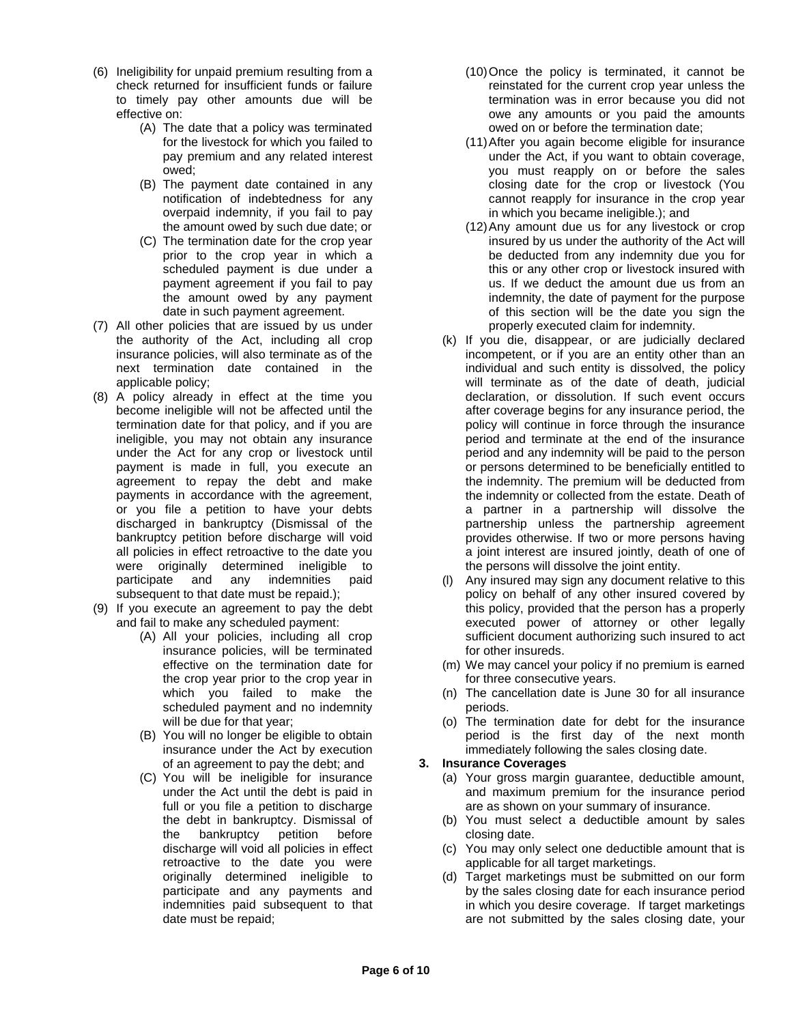- (6) Ineligibility for unpaid premium resulting from a check returned for insufficient funds or failure to timely pay other amounts due will be effective on:
	- (A) The date that a policy was terminated for the livestock for which you failed to pay premium and any related interest owed;
	- (B) The payment date contained in any notification of indebtedness for any overpaid indemnity, if you fail to pay the amount owed by such due date; or
	- (C) The termination date for the crop year prior to the crop year in which a scheduled payment is due under a payment agreement if you fail to pay the amount owed by any payment date in such payment agreement.
- (7) All other policies that are issued by us under the authority of the Act, including all crop insurance policies, will also terminate as of the next termination date contained in the applicable policy;
- (8) A policy already in effect at the time you become ineligible will not be affected until the termination date for that policy, and if you are ineligible, you may not obtain any insurance under the Act for any crop or livestock until payment is made in full, you execute an agreement to repay the debt and make payments in accordance with the agreement, or you file a petition to have your debts discharged in bankruptcy (Dismissal of the bankruptcy petition before discharge will void all policies in effect retroactive to the date you were originally determined ineligible to<br>participate and any indemnities paid and any indemnities paid subsequent to that date must be repaid.);
- (9) If you execute an agreement to pay the debt and fail to make any scheduled payment:
	- (A) All your policies, including all crop insurance policies, will be terminated effective on the termination date for the crop year prior to the crop year in which you failed to make the scheduled payment and no indemnity will be due for that year;
	- (B) You will no longer be eligible to obtain insurance under the Act by execution of an agreement to pay the debt; and
	- (C) You will be ineligible for insurance under the Act until the debt is paid in full or you file a petition to discharge the debt in bankruptcy. Dismissal of the bankruptcy petition before discharge will void all policies in effect retroactive to the date you were originally determined ineligible to participate and any payments and indemnities paid subsequent to that date must be repaid;
- (10)Once the policy is terminated, it cannot be reinstated for the current crop year unless the termination was in error because you did not owe any amounts or you paid the amounts owed on or before the termination date;
- (11)After you again become eligible for insurance under the Act, if you want to obtain coverage, you must reapply on or before the sales closing date for the crop or livestock (You cannot reapply for insurance in the crop year in which you became ineligible.); and
- (12)Any amount due us for any livestock or crop insured by us under the authority of the Act will be deducted from any indemnity due you for this or any other crop or livestock insured with us. If we deduct the amount due us from an indemnity, the date of payment for the purpose of this section will be the date you sign the properly executed claim for indemnity.
- (k) If you die, disappear, or are judicially declared incompetent, or if you are an entity other than an individual and such entity is dissolved, the policy will terminate as of the date of death, judicial declaration, or dissolution. If such event occurs after coverage begins for any insurance period, the policy will continue in force through the insurance period and terminate at the end of the insurance period and any indemnity will be paid to the person or persons determined to be beneficially entitled to the indemnity. The premium will be deducted from the indemnity or collected from the estate. Death of a partner in a partnership will dissolve the partnership unless the partnership agreement provides otherwise. If two or more persons having a joint interest are insured jointly, death of one of the persons will dissolve the joint entity.
- (l) Any insured may sign any document relative to this policy on behalf of any other insured covered by this policy, provided that the person has a properly executed power of attorney or other legally sufficient document authorizing such insured to act for other insureds.
- (m) We may cancel your policy if no premium is earned for three consecutive years.
- (n) The cancellation date is June 30 for all insurance periods.
- (o) The termination date for debt for the insurance period is the first day of the next month immediately following the sales closing date.

### **3. Insurance Coverages**

- (a) Your gross margin guarantee, deductible amount, and maximum premium for the insurance period are as shown on your summary of insurance.
- (b) You must select a deductible amount by sales closing date.
- (c) You may only select one deductible amount that is applicable for all target marketings.
- (d) Target marketings must be submitted on our form by the sales closing date for each insurance period in which you desire coverage. If target marketings are not submitted by the sales closing date, your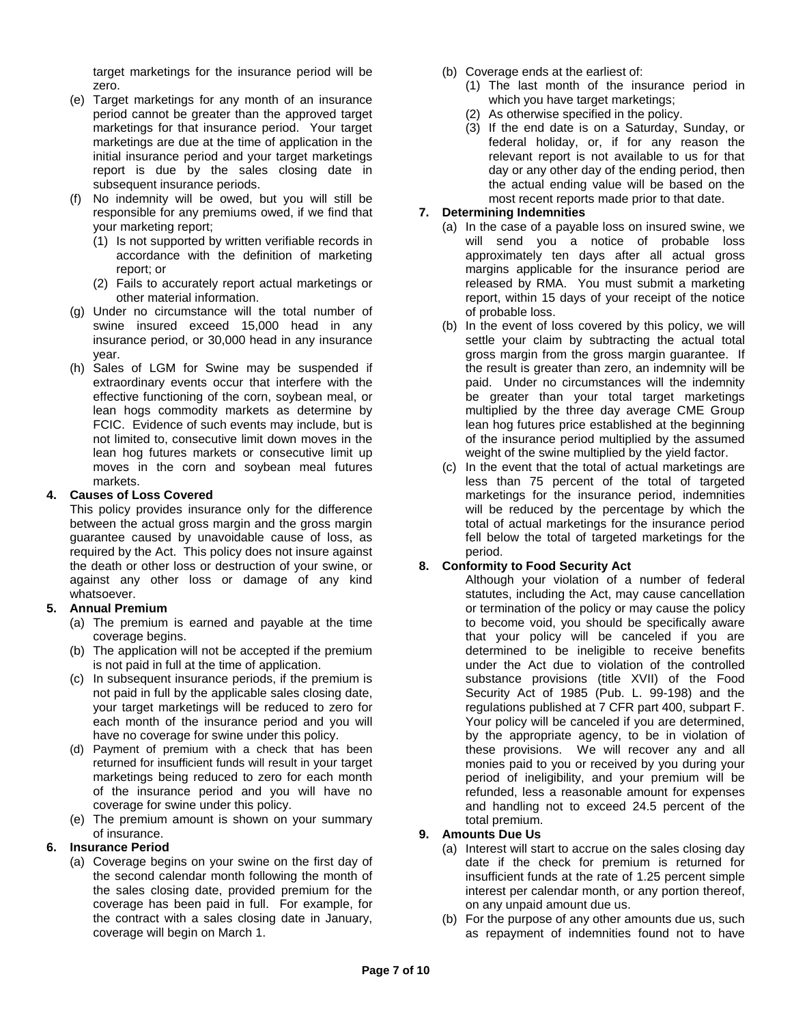target marketings for the insurance period will be zero.

- (e) Target marketings for any month of an insurance period cannot be greater than the approved target marketings for that insurance period. Your target marketings are due at the time of application in the initial insurance period and your target marketings report is due by the sales closing date in subsequent insurance periods.
- (f) No indemnity will be owed, but you will still be responsible for any premiums owed, if we find that your marketing report;
	- (1) Is not supported by written verifiable records in accordance with the definition of marketing report; or
	- (2) Fails to accurately report actual marketings or other material information.
- (g) Under no circumstance will the total number of swine insured exceed 15,000 head in any insurance period, or 30,000 head in any insurance year.
- (h) Sales of LGM for Swine may be suspended if extraordinary events occur that interfere with the effective functioning of the corn, soybean meal, or lean hogs commodity markets as determine by FCIC. Evidence of such events may include, but is not limited to, consecutive limit down moves in the lean hog futures markets or consecutive limit up moves in the corn and soybean meal futures markets.

### **4. Causes of Loss Covered**

This policy provides insurance only for the difference between the actual gross margin and the gross margin guarantee caused by unavoidable cause of loss, as required by the Act. This policy does not insure against the death or other loss or destruction of your swine, or against any other loss or damage of any kind whatsoever.

### **5. Annual Premium**

- (a) The premium is earned and payable at the time coverage begins.
- (b) The application will not be accepted if the premium is not paid in full at the time of application.
- (c) In subsequent insurance periods, if the premium is not paid in full by the applicable sales closing date, your target marketings will be reduced to zero for each month of the insurance period and you will have no coverage for swine under this policy.
- (d) Payment of premium with a check that has been returned for insufficient funds will result in your target marketings being reduced to zero for each month of the insurance period and you will have no coverage for swine under this policy.
- (e) The premium amount is shown on your summary of insurance.

### **6. Insurance Period**

(a) Coverage begins on your swine on the first day of the second calendar month following the month of the sales closing date, provided premium for the coverage has been paid in full. For example, for the contract with a sales closing date in January, coverage will begin on March 1.

- (b) Coverage ends at the earliest of:
	- (1) The last month of the insurance period in which you have target marketings;
	- (2) As otherwise specified in the policy.
	- (3) If the end date is on a Saturday, Sunday, or federal holiday, or, if for any reason the relevant report is not available to us for that day or any other day of the ending period, then the actual ending value will be based on the most recent reports made prior to that date.

# **7. Determining Indemnities**

- (a) In the case of a payable loss on insured swine, we will send you a notice of probable loss approximately ten days after all actual gross margins applicable for the insurance period are released by RMA. You must submit a marketing report, within 15 days of your receipt of the notice of probable loss.
- (b) In the event of loss covered by this policy, we will settle your claim by subtracting the actual total gross margin from the gross margin guarantee. If the result is greater than zero, an indemnity will be paid. Under no circumstances will the indemnity be greater than your total target marketings multiplied by the three day average CME Group lean hog futures price established at the beginning of the insurance period multiplied by the assumed weight of the swine multiplied by the yield factor.
- (c) In the event that the total of actual marketings are less than 75 percent of the total of targeted marketings for the insurance period, indemnities will be reduced by the percentage by which the total of actual marketings for the insurance period fell below the total of targeted marketings for the period.

### **8. Conformity to Food Security Act**

Although your violation of a number of federal statutes, including the Act, may cause cancellation or termination of the policy or may cause the policy to become void, you should be specifically aware that your policy will be canceled if you are determined to be ineligible to receive benefits under the Act due to violation of the controlled substance provisions (title XVII) of the Food Security Act of 1985 (Pub. L. 99-198) and the regulations published at 7 CFR part 400, subpart F. Your policy will be canceled if you are determined, by the appropriate agency, to be in violation of these provisions. We will recover any and all monies paid to you or received by you during your period of ineligibility, and your premium will be refunded, less a reasonable amount for expenses and handling not to exceed 24.5 percent of the total premium.

### **9. Amounts Due Us**

- (a) Interest will start to accrue on the sales closing day date if the check for premium is returned for insufficient funds at the rate of 1.25 percent simple interest per calendar month, or any portion thereof, on any unpaid amount due us.
- (b) For the purpose of any other amounts due us, such as repayment of indemnities found not to have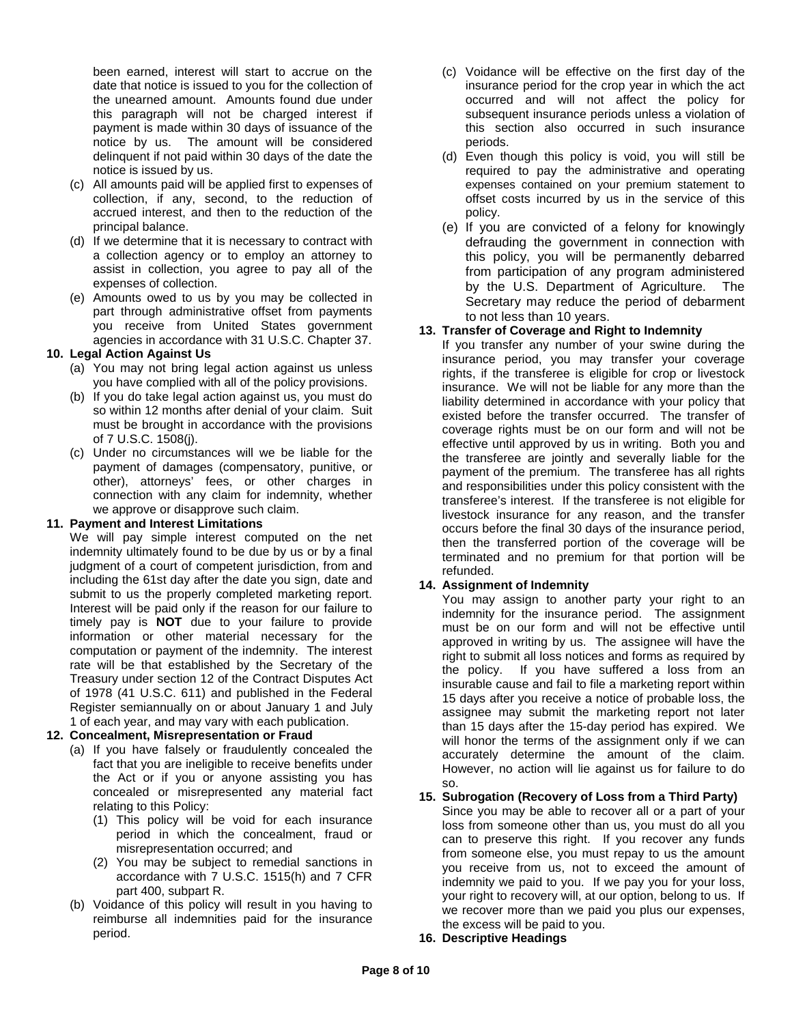been earned, interest will start to accrue on the date that notice is issued to you for the collection of the unearned amount. Amounts found due under this paragraph will not be charged interest if payment is made within 30 days of issuance of the notice by us. The amount will be considered delinquent if not paid within 30 days of the date the notice is issued by us.

- (c) All amounts paid will be applied first to expenses of collection, if any, second, to the reduction of accrued interest, and then to the reduction of the principal balance.
- (d) If we determine that it is necessary to contract with a collection agency or to employ an attorney to assist in collection, you agree to pay all of the expenses of collection.
- (e) Amounts owed to us by you may be collected in part through administrative offset from payments you receive from United States government agencies in accordance with 31 U.S.C. Chapter 37.

### **10. Legal Action Against Us**

- (a) You may not bring legal action against us unless you have complied with all of the policy provisions.
- (b) If you do take legal action against us, you must do so within 12 months after denial of your claim. Suit must be brought in accordance with the provisions of 7 U.S.C. 1508(j).
- (c) Under no circumstances will we be liable for the payment of damages (compensatory, punitive, or other), attorneys' fees, or other charges in connection with any claim for indemnity, whether we approve or disapprove such claim.

# **11. Payment and Interest Limitations**

We will pay simple interest computed on the net indemnity ultimately found to be due by us or by a final judgment of a court of competent jurisdiction, from and including the 61st day after the date you sign, date and submit to us the properly completed marketing report. Interest will be paid only if the reason for our failure to timely pay is **NOT** due to your failure to provide information or other material necessary for the computation or payment of the indemnity. The interest rate will be that established by the Secretary of the Treasury under section 12 of the Contract Disputes Act of 1978 (41 U.S.C. 611) and published in the Federal Register semiannually on or about January 1 and July 1 of each year, and may vary with each publication.

# **12. Concealment, Misrepresentation or Fraud**

- (a) If you have falsely or fraudulently concealed the fact that you are ineligible to receive benefits under the Act or if you or anyone assisting you has concealed or misrepresented any material fact relating to this Policy:
	- (1) This policy will be void for each insurance period in which the concealment, fraud or misrepresentation occurred; and
	- (2) You may be subject to remedial sanctions in accordance with 7 U.S.C. 1515(h) and 7 CFR part 400, subpart R.
- (b) Voidance of this policy will result in you having to reimburse all indemnities paid for the insurance period.
- (c) Voidance will be effective on the first day of the insurance period for the crop year in which the act occurred and will not affect the policy for subsequent insurance periods unless a violation of this section also occurred in such insurance periods.
- (d) Even though this policy is void, you will still be required to pay the administrative and operating expenses contained on your premium statement to offset costs incurred by us in the service of this policy.
- (e) If you are convicted of a felony for knowingly defrauding the government in connection with this policy, you will be permanently debarred from participation of any program administered by the U.S. Department of Agriculture. The Secretary may reduce the period of debarment to not less than 10 years.

### **13. Transfer of Coverage and Right to Indemnity**

If you transfer any number of your swine during the insurance period, you may transfer your coverage rights, if the transferee is eligible for crop or livestock insurance. We will not be liable for any more than the liability determined in accordance with your policy that existed before the transfer occurred. The transfer of coverage rights must be on our form and will not be effective until approved by us in writing. Both you and the transferee are jointly and severally liable for the payment of the premium. The transferee has all rights and responsibilities under this policy consistent with the transferee's interest. If the transferee is not eligible for livestock insurance for any reason, and the transfer occurs before the final 30 days of the insurance period, then the transferred portion of the coverage will be terminated and no premium for that portion will be refunded.

# **14. Assignment of Indemnity**

You may assign to another party your right to an indemnity for the insurance period. The assignment must be on our form and will not be effective until approved in writing by us. The assignee will have the right to submit all loss notices and forms as required by the policy. If you have suffered a loss from an insurable cause and fail to file a marketing report within 15 days after you receive a notice of probable loss, the assignee may submit the marketing report not later than 15 days after the 15-day period has expired. We will honor the terms of the assignment only if we can accurately determine the amount of the claim. However, no action will lie against us for failure to do so.

# **15. Subrogation (Recovery of Loss from a Third Party)**

Since you may be able to recover all or a part of your loss from someone other than us, you must do all you can to preserve this right. If you recover any funds from someone else, you must repay to us the amount you receive from us, not to exceed the amount of indemnity we paid to you. If we pay you for your loss, your right to recovery will, at our option, belong to us. If we recover more than we paid you plus our expenses, the excess will be paid to you.

**16. Descriptive Headings**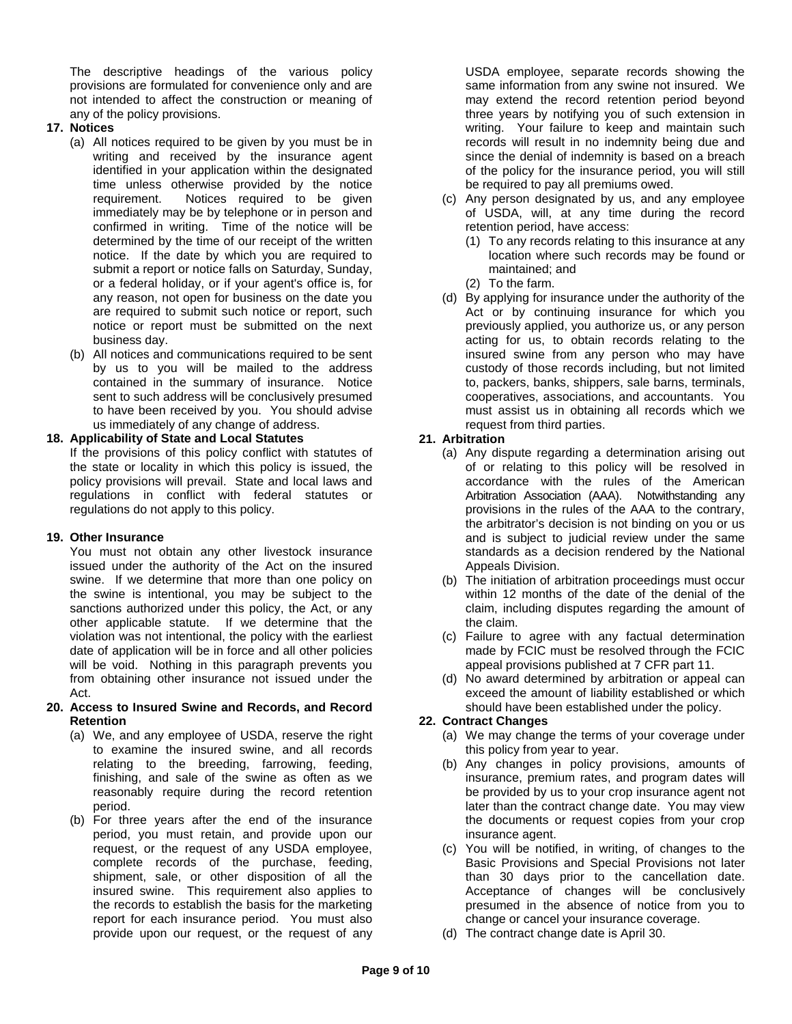The descriptive headings of the various policy provisions are formulated for convenience only and are not intended to affect the construction or meaning of any of the policy provisions.

- **17. Notices**
	- (a) All notices required to be given by you must be in writing and received by the insurance agent identified in your application within the designated time unless otherwise provided by the notice requirement. Notices required to be given immediately may be by telephone or in person and confirmed in writing. Time of the notice will be determined by the time of our receipt of the written notice. If the date by which you are required to submit a report or notice falls on Saturday, Sunday, or a federal holiday, or if your agent's office is, for any reason, not open for business on the date you are required to submit such notice or report, such notice or report must be submitted on the next business day.
	- (b) All notices and communications required to be sent by us to you will be mailed to the address contained in the summary of insurance. Notice sent to such address will be conclusively presumed to have been received by you. You should advise us immediately of any change of address.

### **18. Applicability of State and Local Statutes**

If the provisions of this policy conflict with statutes of the state or locality in which this policy is issued, the policy provisions will prevail. State and local laws and regulations in conflict with federal statutes or regulations do not apply to this policy.

### **19. Other Insurance**

You must not obtain any other livestock insurance issued under the authority of the Act on the insured swine. If we determine that more than one policy on the swine is intentional, you may be subject to the sanctions authorized under this policy, the Act, or any other applicable statute. If we determine that the violation was not intentional, the policy with the earliest date of application will be in force and all other policies will be void. Nothing in this paragraph prevents you from obtaining other insurance not issued under the Act.

#### **20. Access to Insured Swine and Records, and Record Retention**

- (a) We, and any employee of USDA, reserve the right to examine the insured swine, and all records relating to the breeding, farrowing, feeding, finishing, and sale of the swine as often as we reasonably require during the record retention period.
- (b) For three years after the end of the insurance period, you must retain, and provide upon our request, or the request of any USDA employee, complete records of the purchase, feeding, shipment, sale, or other disposition of all the insured swine. This requirement also applies to the records to establish the basis for the marketing report for each insurance period. You must also provide upon our request, or the request of any

USDA employee, separate records showing the same information from any swine not insured. We may extend the record retention period beyond three years by notifying you of such extension in writing. Your failure to keep and maintain such records will result in no indemnity being due and since the denial of indemnity is based on a breach of the policy for the insurance period, you will still be required to pay all premiums owed.

- (c) Any person designated by us, and any employee of USDA, will, at any time during the record retention period, have access:
	- (1) To any records relating to this insurance at any location where such records may be found or maintained; and
	- (2) To the farm.
- (d) By applying for insurance under the authority of the Act or by continuing insurance for which you previously applied, you authorize us, or any person acting for us, to obtain records relating to the insured swine from any person who may have custody of those records including, but not limited to, packers, banks, shippers, sale barns, terminals, cooperatives, associations, and accountants. You must assist us in obtaining all records which we request from third parties.

### **21. Arbitration**

- (a) Any dispute regarding a determination arising out of or relating to this policy will be resolved in accordance with the rules of the American Arbitration Association (AAA). Notwithstanding any provisions in the rules of the AAA to the contrary, the arbitrator's decision is not binding on you or us and is subject to judicial review under the same standards as a decision rendered by the National Appeals Division.
- (b) The initiation of arbitration proceedings must occur within 12 months of the date of the denial of the claim, including disputes regarding the amount of the claim.
- (c) Failure to agree with any factual determination made by FCIC must be resolved through the FCIC appeal provisions published at 7 CFR part 11.
- (d) No award determined by arbitration or appeal can exceed the amount of liability established or which should have been established under the policy.

# **22. Contract Changes**

- (a) We may change the terms of your coverage under this policy from year to year.
- (b) Any changes in policy provisions, amounts of insurance, premium rates, and program dates will be provided by us to your crop insurance agent not later than the contract change date. You may view the documents or request copies from your crop insurance agent.
- (c) You will be notified, in writing, of changes to the Basic Provisions and Special Provisions not later than 30 days prior to the cancellation date. Acceptance of changes will be conclusively presumed in the absence of notice from you to change or cancel your insurance coverage.
- (d) The contract change date is April 30.